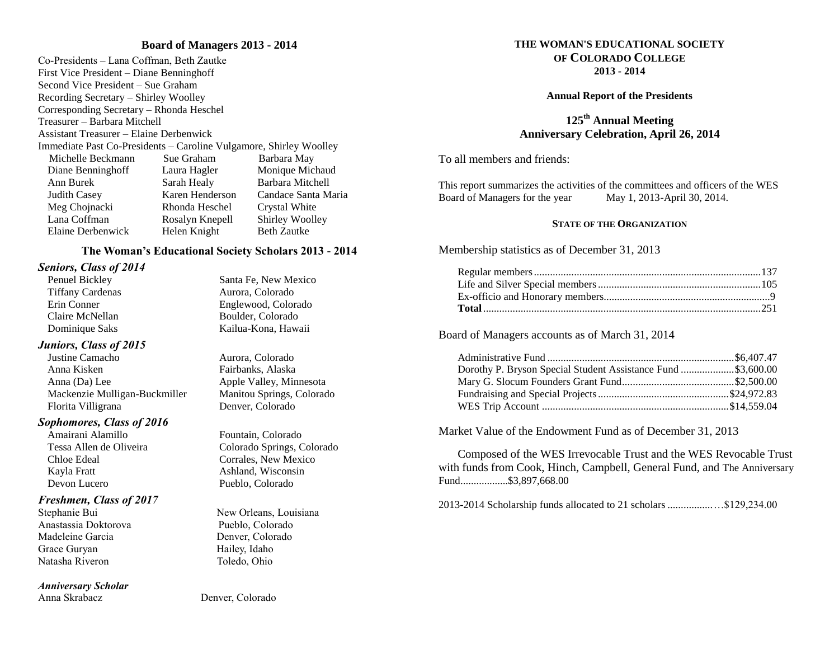#### **Board of Managers 2013 - 2014**

Co-Presidents – Lana Coffman, Beth Zautke First Vice President – Diane Benninghoff Second Vice President – Sue Graham Recording Secretary – Shirley Woolley Corresponding Secretary – Rhonda Heschel Treasurer – Barbara Mitchell Assistant Treasurer – Elaine Derbenwick Immediate Past Co-Presidents – Caroline Vulgamore, Shirley Woolley Michelle Beckmann Sue Graham Barbara May Diane Benninghoff Laura Hagler Monique Michaud Ann Burek Sarah Healy Barbara Mitchell Judith Casey Karen Henderson Candace Santa Maria Meg Chojnacki Rhonda Heschel Crystal White Lana Coffman Rosalyn Knepell Shirley Woolley Elaine Derbenwick Helen Knight Beth Zautke

#### **The Woman's Educational Society Scholars 2013 - 2014**

# *Seniors, Class of 2014*

Tiffany Cardenas Aurora, Colorado Claire McNellan Boulder, Colorado

#### *Juniors, Class of 2015*

Justine Camacho Aurora, Colorado Anna Kisken Fairbanks, Alaska Anna (Da) Lee Apple Valley, Minnesota Mackenzie Mulligan-Buckmiller Manitou Springs, Colorado Florita Villigrana Denver, Colorado

#### *Sophomores, Class of 2016*

Amairani Alamillo Fountain, Colorado Chloe Edeal Corrales, New Mexico Kayla Fratt Ashland, Wisconsin Devon Lucero Pueblo, Colorado

# *Freshmen, Class of 2017*

Anastassia Doktorova Pueblo, Colorado Madeleine Garcia **Denver, Colorado** Grace Guryan Hailey, Idaho Natasha Riveron Toledo, Ohio

#### *Anniversary Scholar*

Penuel Bickley Santa Fe, New Mexico Erin Conner Englewood, Colorado Dominique Saks Kailua-Kona, Hawaii

Tessa Allen de Oliveira Colorado Springs, Colorado

Stephanie Bui New Orleans, Louisiana

**THE WOMAN'S EDUCATIONAL SOCIETY OF COLORADO COLLEGE 2013 - 2014**

#### **Annual Report of the Presidents**

# **125th Annual Meeting Anniversary Celebration, April 26, 2014**

To all members and friends:

This report summarizes the activities of the committees and officers of the WES Board of Managers for the year May 1, 2013-April 30, 2014.

#### **STATE OF THE ORGANIZATION**

Membership statistics as of December 31, 2013

Board of Managers accounts as of March 31, 2014

| Dorothy P. Bryson Special Student Assistance Fund \$3,600.00 |  |
|--------------------------------------------------------------|--|
|                                                              |  |
|                                                              |  |
|                                                              |  |

Market Value of the Endowment Fund as of December 31, 2013

Composed of the WES Irrevocable Trust and the WES Revocable Trust with funds from Cook, Hinch, Campbell, General Fund, and The Anniversary Fund..................\$3,897,668.00

2013-2014 Scholarship funds allocated to 21 scholars.................…\$129,234.00

Anna Skrabacz Denver, Colorado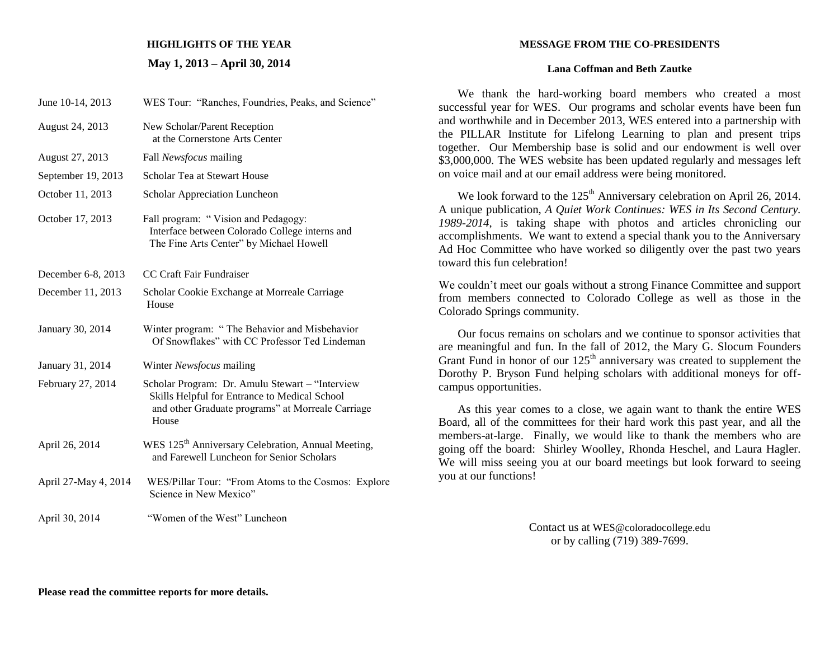# **HIGHLIGHTS OF THE YEAR**

## **May 1, 2013 – April 30, 2014**

| June 10-14, 2013     | WES Tour: "Ranches, Foundries, Peaks, and Science"                                                                                                             |
|----------------------|----------------------------------------------------------------------------------------------------------------------------------------------------------------|
| August 24, 2013      | New Scholar/Parent Reception<br>at the Cornerstone Arts Center                                                                                                 |
| August 27, 2013      | Fall Newsfocus mailing                                                                                                                                         |
| September 19, 2013   | Scholar Tea at Stewart House                                                                                                                                   |
| October 11, 2013     | Scholar Appreciation Luncheon                                                                                                                                  |
| October 17, 2013     | Fall program: "Vision and Pedagogy:<br>Interface between Colorado College interns and<br>The Fine Arts Center" by Michael Howell                               |
| December 6-8, 2013   | CC Craft Fair Fundraiser                                                                                                                                       |
| December 11, 2013    | Scholar Cookie Exchange at Morreale Carriage<br>House                                                                                                          |
| January 30, 2014     | Winter program: "The Behavior and Misbehavior<br>Of Snowflakes" with CC Professor Ted Lindeman                                                                 |
| January 31, 2014     | Winter Newsfocus mailing                                                                                                                                       |
| February 27, 2014    | Scholar Program: Dr. Amulu Stewart - "Interview<br>Skills Helpful for Entrance to Medical School<br>and other Graduate programs" at Morreale Carriage<br>House |
| April 26, 2014       | WES 125 <sup>th</sup> Anniversary Celebration, Annual Meeting,<br>and Farewell Luncheon for Senior Scholars                                                    |
| April 27-May 4, 2014 | WES/Pillar Tour: "From Atoms to the Cosmos: Explore<br>Science in New Mexico"                                                                                  |
| April 30, 2014       | "Women of the West" Luncheon                                                                                                                                   |
|                      |                                                                                                                                                                |

## **MESSAGE FROM THE CO-PRESIDENTS**

## **Lana Coffman and Beth Zautke**

We thank the hard-working board members who created a most successful year for WES. Our programs and scholar events have been fun and worthwhile and in December 2013, WES entered into a partnership with the PILLAR Institute for Lifelong Learning to plan and present trips together. Our Membership base is solid and our endowment is well over \$3,000,000. The WES website has been updated regularly and messages left on voice mail and at our email address were being monitored.

We look forward to the  $125<sup>th</sup>$  Anniversary celebration on April 26, 2014. A unique publication, *A Quiet Work Continues: WES in Its Second Century. 1989-2014*, is taking shape with photos and articles chronicling our accomplishments. We want to extend a special thank you to the Anniversary Ad Hoc Committee who have worked so diligently over the past two years toward this fun celebration!

We couldn't meet our goals without a strong Finance Committee and support from members connected to Colorado College as well as those in the Colorado Springs community.

Our focus remains on scholars and we continue to sponsor activities that are meaningful and fun. In the fall of 2012, the Mary G. Slocum Founders Grant Fund in honor of our  $125<sup>th</sup>$  anniversary was created to supplement the Dorothy P. Bryson Fund helping scholars with additional moneys for offcampus opportunities.

As this year comes to a close, we again want to thank the entire WES Board, all of the committees for their hard work this past year, and all the members-at-large. Finally, we would like to thank the members who are going off the board: Shirley Woolley, Rhonda Heschel, and Laura Hagler. We will miss seeing you at our board meetings but look forward to seeing you at our functions!

> Contact us at [WES@coloradocollege.edu](mailto:WES@coloradocollege.edu) or by calling (719) 389-7699.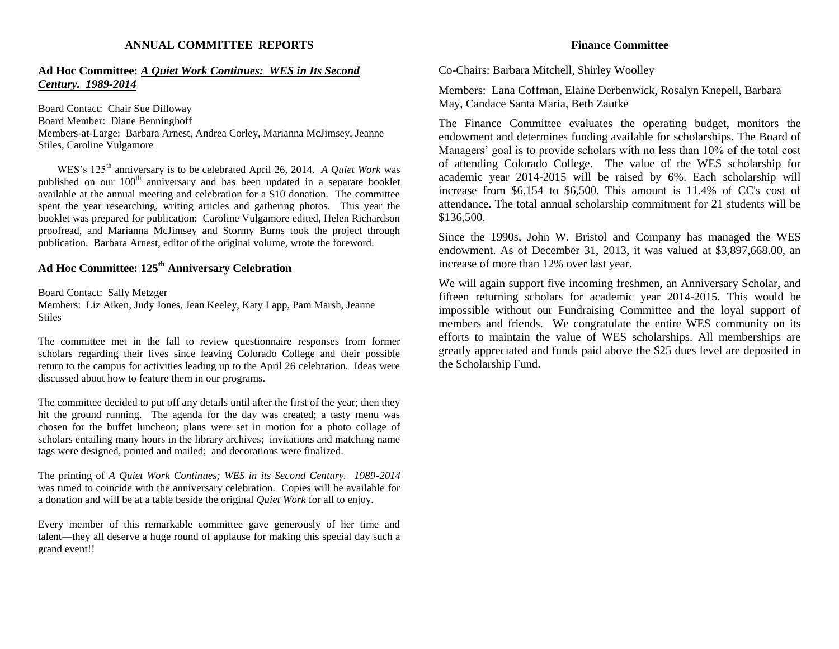#### **ANNUAL COMMITTEE REPORTS**

## **Ad Hoc Committee:** *A Quiet Work Continues: WES in Its Second Century. 1989-2014*

Board Contact: Chair Sue Dilloway Board Member: Diane Benninghoff Members-at-Large: Barbara Arnest, Andrea Corley, Marianna McJimsey, Jeanne Stiles, Caroline Vulgamore

WES's 125th anniversary is to be celebrated April 26, 2014. *A Quiet Work* was published on our  $100<sup>th</sup>$  anniversary and has been updated in a separate booklet available at the annual meeting and celebration for a \$10 donation. The committee spent the year researching, writing articles and gathering photos. This year the booklet was prepared for publication: Caroline Vulgamore edited, Helen Richardson proofread, and Marianna McJimsey and Stormy Burns took the project through publication. Barbara Arnest, editor of the original volume, wrote the foreword.

# **Ad Hoc Committee: 125th Anniversary Celebration**

Board Contact: Sally Metzger

Members: Liz Aiken, Judy Jones, Jean Keeley, Katy Lapp, Pam Marsh, Jeanne **Stiles** 

The committee met in the fall to review questionnaire responses from former scholars regarding their lives since leaving Colorado College and their possible return to the campus for activities leading up to the April 26 celebration. Ideas were discussed about how to feature them in our programs.

The committee decided to put off any details until after the first of the year; then they hit the ground running. The agenda for the day was created; a tasty menu was chosen for the buffet luncheon; plans were set in motion for a photo collage of scholars entailing many hours in the library archives; invitations and matching name tags were designed, printed and mailed; and decorations were finalized.

The printing of *A Quiet Work Continues; WES in its Second Century. 1989-2014*  was timed to coincide with the anniversary celebration. Copies will be available for a donation and will be at a table beside the original *Quiet Work* for all to enjoy.

Every member of this remarkable committee gave generously of her time and talent—they all deserve a huge round of applause for making this special day such a grand event!!

#### **Finance Committee**

Co-Chairs: Barbara Mitchell, Shirley Woolley

Members: Lana Coffman, Elaine Derbenwick, Rosalyn Knepell, Barbara May, Candace Santa Maria, Beth Zautke

The Finance Committee evaluates the operating budget, monitors the endowment and determines funding available for scholarships. The Board of Managers' goal is to provide scholars with no less than 10% of the total cost of attending Colorado College. The value of the WES scholarship for academic year 2014-2015 will be raised by 6%. Each scholarship will increase from \$6,154 to \$6,500. This amount is 11.4% of CC's cost of attendance. The total annual scholarship commitment for 21 students will be \$136,500.

Since the 1990s, John W. Bristol and Company has managed the WES endowment. As of December 31, 2013, it was valued at \$3,897,668.00, an increase of more than 12% over last year.

We will again support five incoming freshmen, an Anniversary Scholar, and fifteen returning scholars for academic year 2014-2015. This would be impossible without our Fundraising Committee and the loyal support of members and friends. We congratulate the entire WES community on its efforts to maintain the value of WES scholarships. All memberships are greatly appreciated and funds paid above the \$25 dues level are deposited in the Scholarship Fund.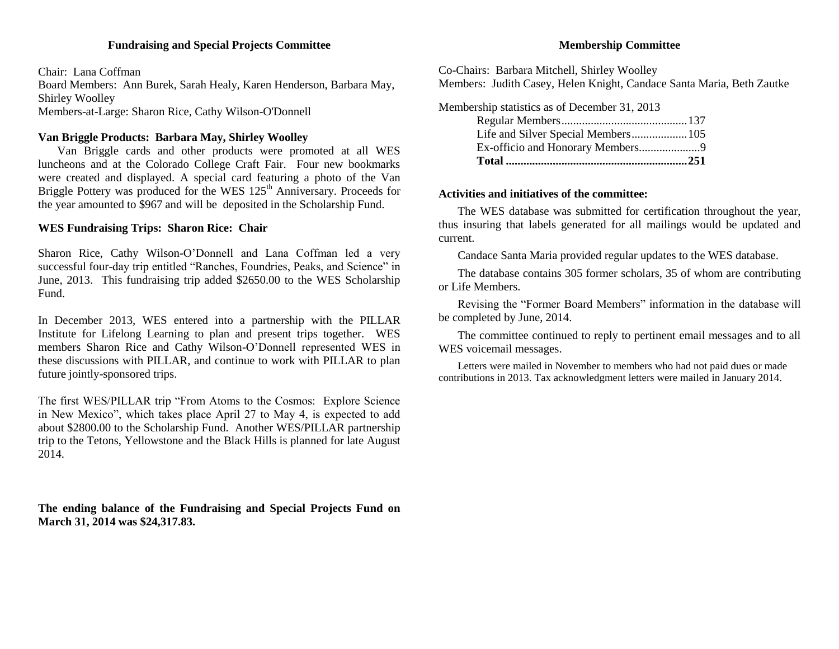## **Fundraising and Special Projects Committee**

Chair: Lana Coffman Board Members: Ann Burek, Sarah Healy, Karen Henderson, Barbara May, Shirley Woolley Members-at-Large: Sharon Rice, Cathy Wilson-O'Donnell

# **Van Briggle Products: Barbara May, Shirley Woolley**

Van Briggle cards and other products were promoted at all WES luncheons and at the Colorado College Craft Fair. Four new bookmarks were created and displayed. A special card featuring a photo of the Van Briggle Pottery was produced for the WES 125<sup>th</sup> Anniversary. Proceeds for the year amounted to \$967 and will be deposited in the Scholarship Fund.

# **WES Fundraising Trips: Sharon Rice: Chair**

Sharon Rice, Cathy Wilson-O'Donnell and Lana Coffman led a very successful four-day trip entitled "Ranches, Foundries, Peaks, and Science" in June, 2013. This fundraising trip added \$2650.00 to the WES Scholarship Fund.

In December 2013, WES entered into a partnership with the PILLAR Institute for Lifelong Learning to plan and present trips together. WES members Sharon Rice and Cathy Wilson-O'Donnell represented WES in these discussions with PILLAR, and continue to work with PILLAR to plan future jointly-sponsored trips.

The first WES/PILLAR trip "From Atoms to the Cosmos: Explore Science in New Mexico", which takes place April 27 to May 4, is expected to add about \$2800.00 to the Scholarship Fund. Another WES/PILLAR partnership trip to the Tetons, Yellowstone and the Black Hills is planned for late August 2014.

**The ending balance of the Fundraising and Special Projects Fund on March 31, 2014 was \$24,317.83.**

# **Membership Committee**

Co-Chairs: Barbara Mitchell, Shirley Woolley Members: Judith Casey, Helen Knight, Candace Santa Maria, Beth Zautke

Membership statistics as of December 31, 2013 Regular Members...........................................137 Life and Silver Special Members...................105 Ex-officio and Honorary Members.....................9 **Total ..............................................................251**

# **Activities and initiatives of the committee:**

The WES database was submitted for certification throughout the year, thus insuring that labels generated for all mailings would be updated and current.

Candace Santa Maria provided regular updates to the WES database.

The database contains 305 former scholars, 35 of whom are contributing or Life Members.

Revising the "Former Board Members" information in the database will be completed by June, 2014.

The committee continued to reply to pertinent email messages and to all WES voicemail messages.

Letters were mailed in November to members who had not paid dues or made contributions in 2013. Tax acknowledgment letters were mailed in January 2014.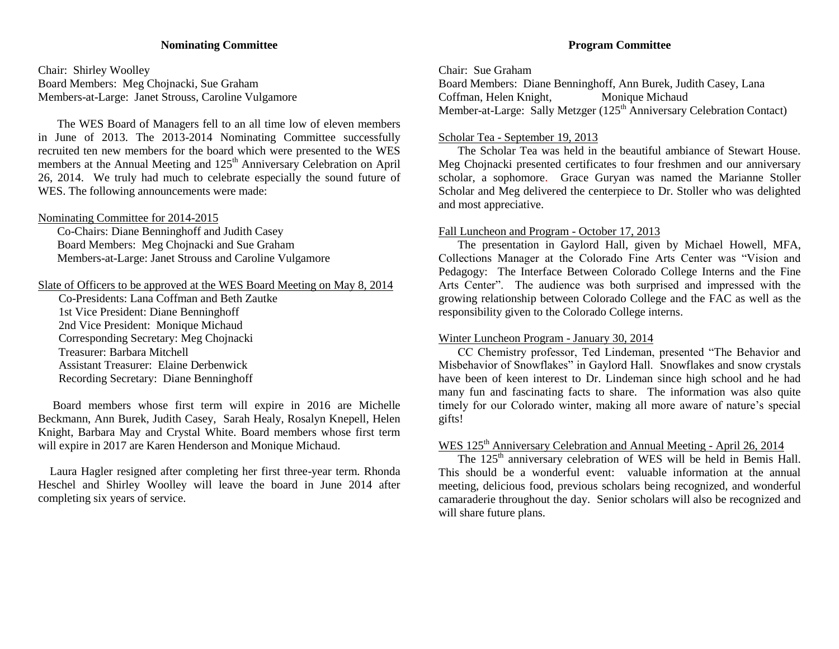## **Nominating Committee**

Chair: Shirley Woolley Board Members: Meg Chojnacki, Sue Graham Members-at-Large: Janet Strouss, Caroline Vulgamore

The WES Board of Managers fell to an all time low of eleven members in June of 2013. The 2013-2014 Nominating Committee successfully recruited ten new members for the board which were presented to the WES members at the Annual Meeting and 125<sup>th</sup> Anniversary Celebration on April 26, 2014. We truly had much to celebrate especially the sound future of WES. The following announcements were made:

#### Nominating Committee for 2014-2015

Co-Chairs: Diane Benninghoff and Judith Casey Board Members: Meg Chojnacki and Sue Graham Members-at-Large: Janet Strouss and Caroline Vulgamore

## Slate of Officers to be approved at the WES Board Meeting on May 8, 2014

 Co-Presidents: Lana Coffman and Beth Zautke 1st Vice President: Diane Benninghoff 2nd Vice President: Monique Michaud Corresponding Secretary: Meg Chojnacki Treasurer: Barbara Mitchell Assistant Treasurer: Elaine Derbenwick Recording Secretary: Diane Benninghoff

 Board members whose first term will expire in 2016 are Michelle Beckmann, Ann Burek, Judith Casey, Sarah Healy, Rosalyn Knepell, Helen Knight, Barbara May and Crystal White. Board members whose first term will expire in 2017 are Karen Henderson and Monique Michaud.

 Laura Hagler resigned after completing her first three-year term. Rhonda Heschel and Shirley Woolley will leave the board in June 2014 after completing six years of service.

# **Program Committee**

Chair: Sue Graham

Board Members: Diane Benninghoff, Ann Burek, Judith Casey, Lana Coffman, Helen Knight, Monique Michaud Member-at-Large: Sally Metzger (125<sup>th</sup> Anniversary Celebration Contact)

# Scholar Tea - September 19, 2013

The Scholar Tea was held in the beautiful ambiance of Stewart House. Meg Chojnacki presented certificates to four freshmen and our anniversary scholar, a sophomore. Grace Guryan was named the Marianne Stoller Scholar and Meg delivered the centerpiece to Dr. Stoller who was delighted and most appreciative.

# Fall Luncheon and Program - October 17, 2013

The presentation in Gaylord Hall, given by Michael Howell, MFA, Collections Manager at the Colorado Fine Arts Center was "Vision and Pedagogy: The Interface Between Colorado College Interns and the Fine Arts Center". The audience was both surprised and impressed with the growing relationship between Colorado College and the FAC as well as the responsibility given to the Colorado College interns.

## Winter Luncheon Program - January 30, 2014

CC Chemistry professor, Ted Lindeman, presented "The Behavior and Misbehavior of Snowflakes" in Gaylord Hall. Snowflakes and snow crystals have been of keen interest to Dr. Lindeman since high school and he had many fun and fascinating facts to share. The information was also quite timely for our Colorado winter, making all more aware of nature's special gifts!

# WES 125<sup>th</sup> Anniversary Celebration and Annual Meeting - April 26, 2014

The 125<sup>th</sup> anniversary celebration of WES will be held in Bemis Hall. This should be a wonderful event: valuable information at the annual meeting, delicious food, previous scholars being recognized, and wonderful camaraderie throughout the day. Senior scholars will also be recognized and will share future plans.